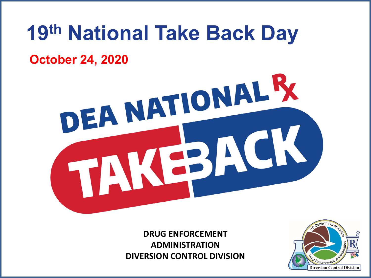## **19th National Take Back Day October 24, 2020**

# DEA NATIONAL R 831

**DRUG ENFORCEMENT ADMINISTRATION DIVERSION CONTROL DIVISION** 

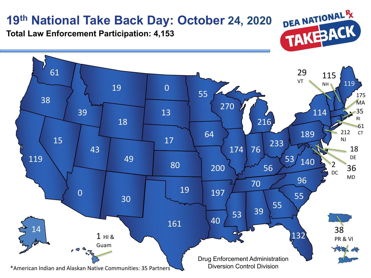#### **19th National Take Back Day: October 24, 2020**

DEA NATIONAL R TAKEBACK

**Total Law Enforcement Participation: 4,153**

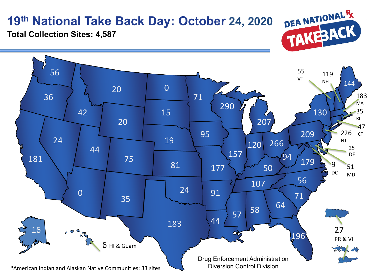## **19th National Take Back Day: October 24, 2020**



**Total Collection Sites: 4,587**

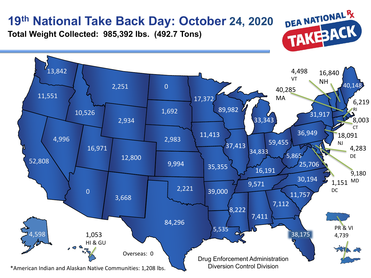#### **19th National Take Back Day: October 24, 2020**

**Total Weight Collected: 985,392 lbs. (492.7 Tons)**



DEA NATIONAL R